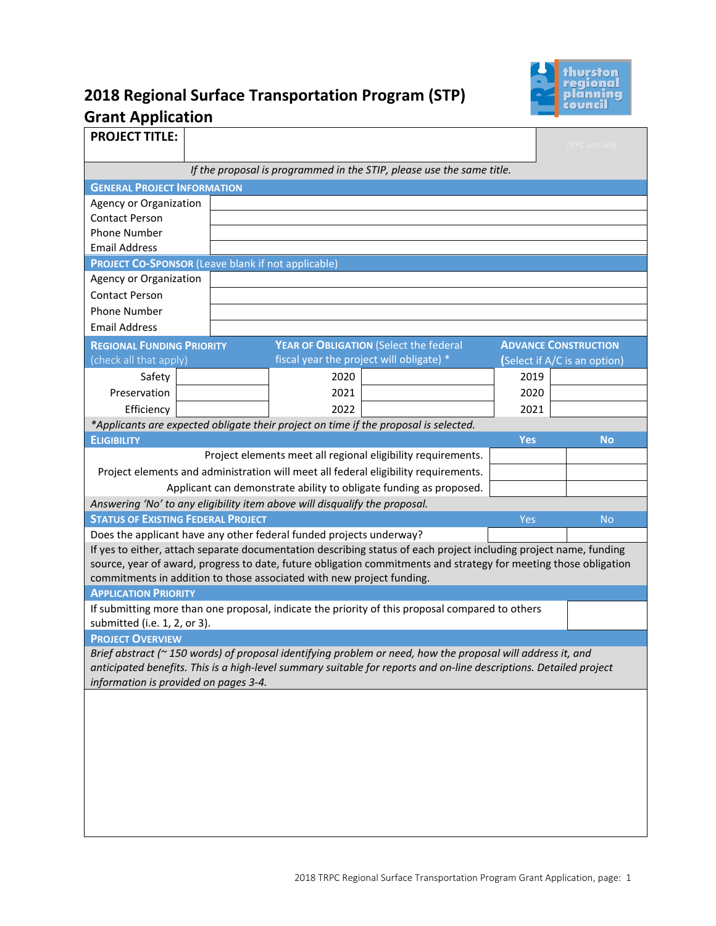

# **2018 Regional Surface Transportation Program (STP) Grant Application**

| <b>PROJECT TITLE:</b>                                                                                                                                                                                                                                                                     |                                               | Fort Stevens Elementary - Pedestrian Improvements |                                                                                                                    |            | TRPC use only                |  |  |  |
|-------------------------------------------------------------------------------------------------------------------------------------------------------------------------------------------------------------------------------------------------------------------------------------------|-----------------------------------------------|---------------------------------------------------|--------------------------------------------------------------------------------------------------------------------|------------|------------------------------|--|--|--|
|                                                                                                                                                                                                                                                                                           |                                               |                                                   |                                                                                                                    |            |                              |  |  |  |
| If the proposal is programmed in the STIP, please use the same title.                                                                                                                                                                                                                     |                                               |                                                   |                                                                                                                    |            |                              |  |  |  |
| <b>GENERAL PROJECT INFORMATION</b>                                                                                                                                                                                                                                                        |                                               |                                                   |                                                                                                                    |            |                              |  |  |  |
|                                                                                                                                                                                                                                                                                           | City of Yelm<br><b>Agency or Organization</b> |                                                   |                                                                                                                    |            |                              |  |  |  |
| <b>Contact Person</b>                                                                                                                                                                                                                                                                     | Chad Bedlington, Public Works Director        |                                                   |                                                                                                                    |            |                              |  |  |  |
| <b>Phone Number</b>                                                                                                                                                                                                                                                                       |                                               | 360-458-8412                                      |                                                                                                                    |            |                              |  |  |  |
| <b>Email Address</b>                                                                                                                                                                                                                                                                      | chadb@yelmwa.gov                              |                                                   |                                                                                                                    |            |                              |  |  |  |
| <b>PROJECT CO-SPONSOR (Leave blank if not applicable)</b>                                                                                                                                                                                                                                 |                                               |                                                   |                                                                                                                    |            |                              |  |  |  |
| Agency or Organization                                                                                                                                                                                                                                                                    |                                               |                                                   |                                                                                                                    |            |                              |  |  |  |
| <b>Contact Person</b>                                                                                                                                                                                                                                                                     |                                               |                                                   |                                                                                                                    |            |                              |  |  |  |
| <b>Phone Number</b>                                                                                                                                                                                                                                                                       |                                               |                                                   |                                                                                                                    |            |                              |  |  |  |
| <b>Email Address</b>                                                                                                                                                                                                                                                                      |                                               |                                                   |                                                                                                                    |            |                              |  |  |  |
| <b>REGIONAL FUNDING PRIORITY</b>                                                                                                                                                                                                                                                          |                                               |                                                   | YEAR OF OBLIGATION (Select the federal                                                                             |            | <b>ADVANCE CONSTRUCTION</b>  |  |  |  |
| (check all that apply)                                                                                                                                                                                                                                                                    |                                               |                                                   | fiscal year the project will obligate) *                                                                           |            | (Select if A/C is an option) |  |  |  |
| Safety                                                                                                                                                                                                                                                                                    |                                               | 2020                                              |                                                                                                                    | 2019       |                              |  |  |  |
| Preservation                                                                                                                                                                                                                                                                              |                                               | 2021                                              |                                                                                                                    | 2020       |                              |  |  |  |
| Efficiency                                                                                                                                                                                                                                                                                |                                               | 2022                                              |                                                                                                                    | 2021       |                              |  |  |  |
|                                                                                                                                                                                                                                                                                           |                                               |                                                   | *Applicants are expected obligate their project on time if the proposal is selected.                               |            |                              |  |  |  |
| <b>ELIGIBILITY</b>                                                                                                                                                                                                                                                                        |                                               |                                                   |                                                                                                                    | <b>Yes</b> | <b>No</b>                    |  |  |  |
|                                                                                                                                                                                                                                                                                           |                                               |                                                   | Project elements meet all regional eligibility requirements.                                                       | X          |                              |  |  |  |
|                                                                                                                                                                                                                                                                                           |                                               |                                                   | Project elements and administration will meet all federal eligibility requirements.                                | $\times$   |                              |  |  |  |
|                                                                                                                                                                                                                                                                                           |                                               |                                                   | Applicant can demonstrate ability to obligate funding as proposed.                                                 | $\times$   |                              |  |  |  |
| Answering 'No' to any eligibility item above will disqualify the proposal.                                                                                                                                                                                                                |                                               |                                                   |                                                                                                                    |            |                              |  |  |  |
| <b>STATUS OF EXISTING FEDERAL PROJECT</b>                                                                                                                                                                                                                                                 |                                               |                                                   |                                                                                                                    | Yes        | <b>No</b>                    |  |  |  |
| Does the applicant have any other federal funded projects underway?                                                                                                                                                                                                                       |                                               |                                                   |                                                                                                                    |            |                              |  |  |  |
|                                                                                                                                                                                                                                                                                           |                                               |                                                   | If yes to either, attach separate documentation describing status of each project including project name, funding  |            |                              |  |  |  |
|                                                                                                                                                                                                                                                                                           |                                               |                                                   | source, year of award, progress to date, future obligation commitments and strategy for meeting those obligation   |            |                              |  |  |  |
| commitments in addition to those associated with new project funding.                                                                                                                                                                                                                     |                                               |                                                   |                                                                                                                    |            |                              |  |  |  |
| <b>APPLICATION PRIORITY</b>                                                                                                                                                                                                                                                               |                                               |                                                   |                                                                                                                    |            |                              |  |  |  |
|                                                                                                                                                                                                                                                                                           |                                               |                                                   |                                                                                                                    |            |                              |  |  |  |
| If submitting more than one proposal, indicate the priority of this proposal compared to others<br>submitted (i.e. 1, 2, or 3).                                                                                                                                                           |                                               |                                                   |                                                                                                                    |            |                              |  |  |  |
| <b>PROJECT OVERVIEW</b>                                                                                                                                                                                                                                                                   |                                               |                                                   |                                                                                                                    |            |                              |  |  |  |
|                                                                                                                                                                                                                                                                                           |                                               |                                                   | Brief abstract (~ 150 words) of proposal identifying problem or need, how the proposal will address it, and        |            |                              |  |  |  |
|                                                                                                                                                                                                                                                                                           |                                               |                                                   | anticipated benefits. This is a high-level summary suitable for reports and on-line descriptions. Detailed project |            |                              |  |  |  |
| information is provided on pages 3-4.                                                                                                                                                                                                                                                     |                                               |                                                   |                                                                                                                    |            |                              |  |  |  |
| The project will improve safety for students and pedestrians along 100th Way SE and Grove Road SE near Fort<br>Stevens Elementary School. The existing roadway offers no protection from vehicles passing by or turning                                                                   |                                               |                                                   |                                                                                                                    |            |                              |  |  |  |
| movements. There is a gap in sidewalk on the north and south sides of 100th Way SE directly in front of the school<br>and to the east and west respectively. This project will tie into existing sidewalk and provide ADA compliant<br>walkways along the roadways to eliminate the gaps. |                                               |                                                   |                                                                                                                    |            |                              |  |  |  |
|                                                                                                                                                                                                                                                                                           |                                               |                                                   |                                                                                                                    |            |                              |  |  |  |
|                                                                                                                                                                                                                                                                                           |                                               |                                                   |                                                                                                                    |            |                              |  |  |  |
|                                                                                                                                                                                                                                                                                           |                                               |                                                   |                                                                                                                    |            |                              |  |  |  |
|                                                                                                                                                                                                                                                                                           |                                               |                                                   |                                                                                                                    |            |                              |  |  |  |
|                                                                                                                                                                                                                                                                                           |                                               |                                                   |                                                                                                                    |            |                              |  |  |  |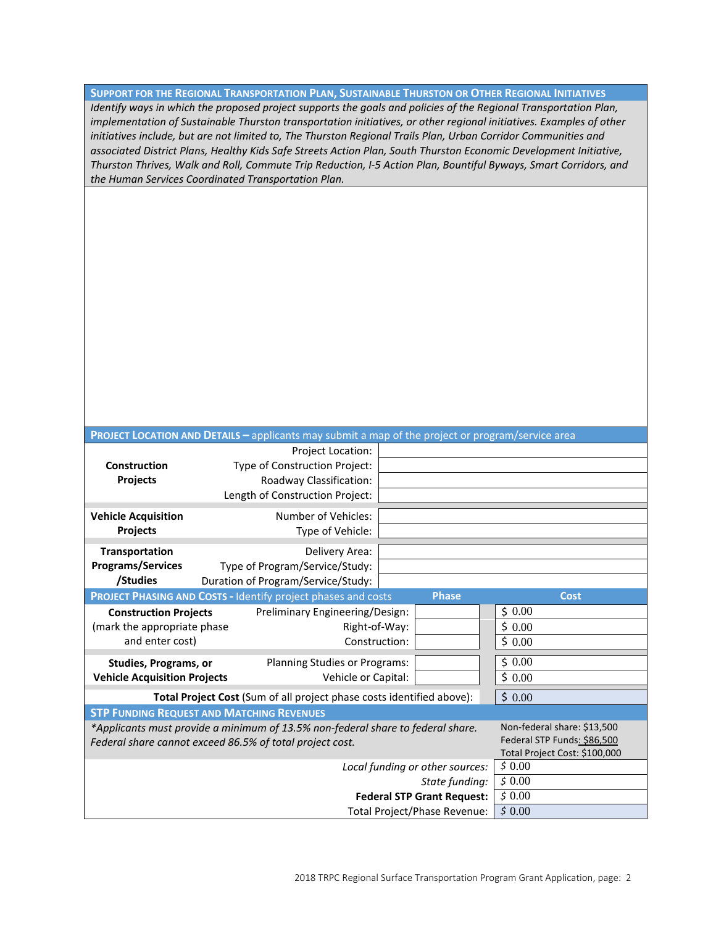**SUPPORT FOR THE REGIONAL TRANSPORTATION PLAN, SUSTAINABLE THURSTON OR OTHER REGIONAL INITIATIVES** *Identify ways in which the proposed project supports the goals and policies of the Regional Transportation Plan, implementation of Sustainable Thurston transportation initiatives, or other regional initiatives. Examples of other*  initiatives include, but are not limited to, The Thurston Regional Trails Plan, Urban Corridor Communities and *associated District Plans, Healthy Kids Safe Streets Action Plan, South Thurston Economic Development Initiative, Thurston Thrives, Walk and Roll, Commute Trip Reduction, I-5 Action Plan, Bountiful Byways, Smart Corridors, and the Human Services Coordinated Transportation Plan.*

The proposed sidewalk promotes pedestrian and student safety systems. Because the project connects sidewalks and walking paths for pedestrians and students in the vicinity of Fort Stevens Elementary School, it promotes safe routes to schools. The project promotes walking and policies relating to a direct, safe, interconnected pedestrian and student network providing pedestrian crossings and developing direct connections to the school.

| <b>PROJECT LOCATION AND DETAILS - applicants may submit a map of the project or program/service area</b> |                                                   |                                |  |  |  |  |
|----------------------------------------------------------------------------------------------------------|---------------------------------------------------|--------------------------------|--|--|--|--|
|                                                                                                          | Project Location: See Location Map                |                                |  |  |  |  |
| Construction                                                                                             | Type of Construction Project:                     | <b>Pedestrian Improvements</b> |  |  |  |  |
| Projects                                                                                                 | Roadway Classification:                           | <b>Urban Major Collector</b>   |  |  |  |  |
|                                                                                                          | $1,500$ ft<br>Length of Construction Project:     |                                |  |  |  |  |
| <b>Vehicle Acquisition</b>                                                                               | N/A<br>Number of Vehicles:                        |                                |  |  |  |  |
| Projects                                                                                                 | Type of Vehicle: N/A                              |                                |  |  |  |  |
|                                                                                                          |                                                   |                                |  |  |  |  |
| Transportation                                                                                           | Delivery Area: N/A                                |                                |  |  |  |  |
| <b>Programs/Services</b><br>/Studies                                                                     | Type of Program/Service/Study: N/A                |                                |  |  |  |  |
|                                                                                                          | Duration of Program/Service/Study:   N/A          |                                |  |  |  |  |
| <b>Phase</b><br><b>Cost</b><br>PROJECT PHASING AND COSTS - Identify project phases and costs             |                                                   |                                |  |  |  |  |
| <b>Construction Projects</b>                                                                             | Preliminary Engineering/Design:                   | \$                             |  |  |  |  |
| (mark the appropriate phase                                                                              | Right-of-Way:                                     | \$                             |  |  |  |  |
| and enter cost)                                                                                          | $\times$<br>Construction:                         | \$<br>733,320.00               |  |  |  |  |
| Studies, Programs, or                                                                                    | Planning Studies or Programs:                     | \$0.00                         |  |  |  |  |
| <b>Vehicle Acquisition Projects</b>                                                                      | Vehicle or Capital:                               | \$0.00                         |  |  |  |  |
| Total Project Cost (Sum of all project phase costs identified above):                                    | \$733,320.00                                      |                                |  |  |  |  |
|                                                                                                          | <b>STP FUNDING REQUEST AND MATCHING REVENUES</b>  |                                |  |  |  |  |
| *Applicants must provide a minimum of 13.5% non-federal share to federal share.                          | Non-federal share: \$13,500                       |                                |  |  |  |  |
| Federal share cannot exceed 86.5% of total project cost.                                                 | Federal STP Funds: \$86,500                       |                                |  |  |  |  |
|                                                                                                          | Total Project Cost: \$100,000                     |                                |  |  |  |  |
|                                                                                                          | \$599,880.00<br>Local funding or other sources:   |                                |  |  |  |  |
|                                                                                                          | \$<br>State funding:                              |                                |  |  |  |  |
|                                                                                                          | \$133,320.00<br><b>Federal STP Grant Request:</b> |                                |  |  |  |  |
|                                                                                                          | \$733,200.00<br>Total Project/Phase Revenue:      |                                |  |  |  |  |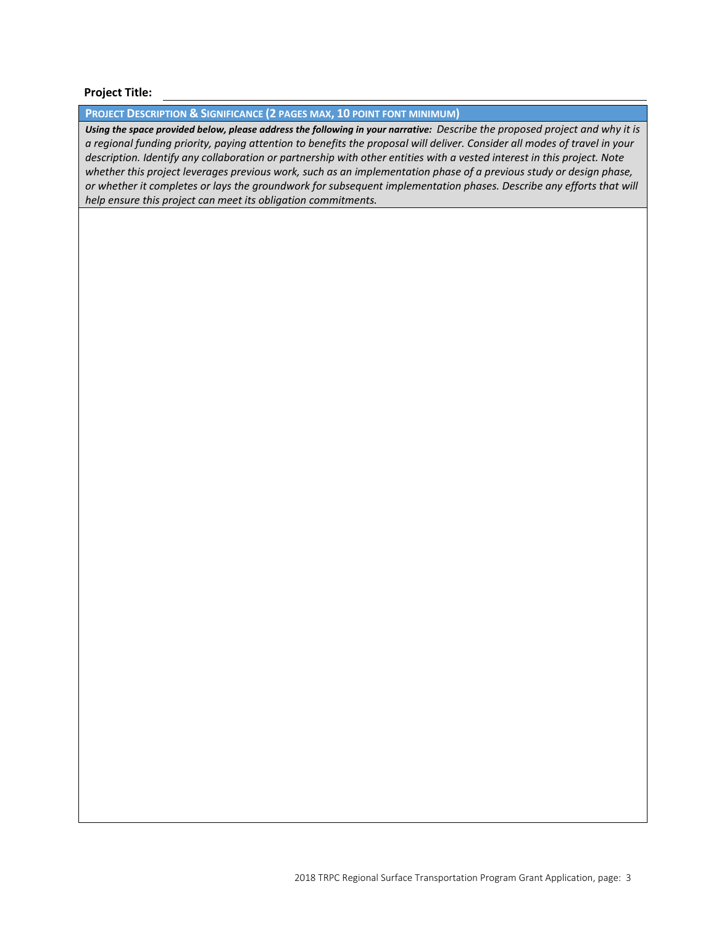Fort Stevens Elementary - Pedestrian Improvements

#### **Project Title:**

#### **PROJECT DESCRIPTION & SIGNIFICANCE (2 PAGES MAX, 10 POINT FONT MINIMUM)**

*Using the space provided below, please address the following in your narrative: Describe the proposed project and why it is a regional funding priority, paying attention to benefits the proposal will deliver. Consider all modes of travel in your description. Identify any collaboration or partnership with other entities with a vested interest in this project. Note*  whether this project leverages previous work, such as an implementation phase of a previous study or design phase, *or whether it completes or lays the groundwork for subsequent implementation phases. Describe any efforts that will help ensure this project can meet its obligation commitments.* 

City staff worked directly with the Yelm School District to evaluate the projects proposed improvements and determine the underlying benefits to the school and surrounding neighborhoods. This project was first added to the City's 6-year TIP in 2015 as a potential project to fill gaps in our pedestrian and school infrastructure. That process included a public comment period prior to a resolution to adopt the TIP, presentation to City Council for annual adoption of the TIP and taking public comment at City Council Meetings.From the school officials, there is a total of 568 students at the school and there are 219 students listed for walking which is also the number of children that live within 1-mile of the school that are not accounted for in bus or bike trips. Currently the School District is required to provide bus service to area students within the 1-mile area as pedestrian routes around the school are designated as hazardous routes without completion of a sidewalk network to access the school. This project would alleviate that issue and also reduce bus service and operating costs to the school district.

The Grove Road SE construction area is outside of the City limits and the County has agreed to support the project. A supporting e-mail has been attached to this application for reference.

This project has a particular emphasis on children walking to schools and intersection safety. It applies specifically to this project and supports 1a, 1l, 2a, 2b, 2d, 3a, 3b, 3c, 4c, 4e, 5b, 6a, 6b, 7a, 9c, 9d, 9g, 10f, 10g, 10i, 12a, 12b, 12d, 12f, 16b, 18e, and 18h of the 2040 Regional Transportation Plan goals and policies.

The project consists of the construction of curb, gutter and 5-foot wide concrete sidewalk along the north side of 100th Way SE and along the west side of Grove Road SE. The project will begin at the intersection on Middle Road SE and 100th Way SE, and will extend along the north side of 100th Way SE to the intersection of Grove Road SE. It will include a planter strip along the north side of 100th Way SE to the intersection of Grove Road SE. It will connect to Fort Stevens Elementary, located on the south side of 100th Way SE, via two crossings located to match existing walking path and sidewalk access points to the school grounds. The existing walking path leading into the school will be maintained by the School District.

The project will also connect to an existing sidewalk along the west side of Grove Road SE located approximately 170 feet north of the intersection of 100th Ct SE and Grove Road SE, and will tie into the north side of 100th Way SE. A storm water conveyance, water quality and infiltration system will be installed within ROW and shoulder area just west of Harold Ct. At the connection from Harold Ct and the bend at 100th St SE and 100th Way SE, RRFB crossing will be installed for added visibility and safety. This project includes ADA compliant curb ramp retrofits.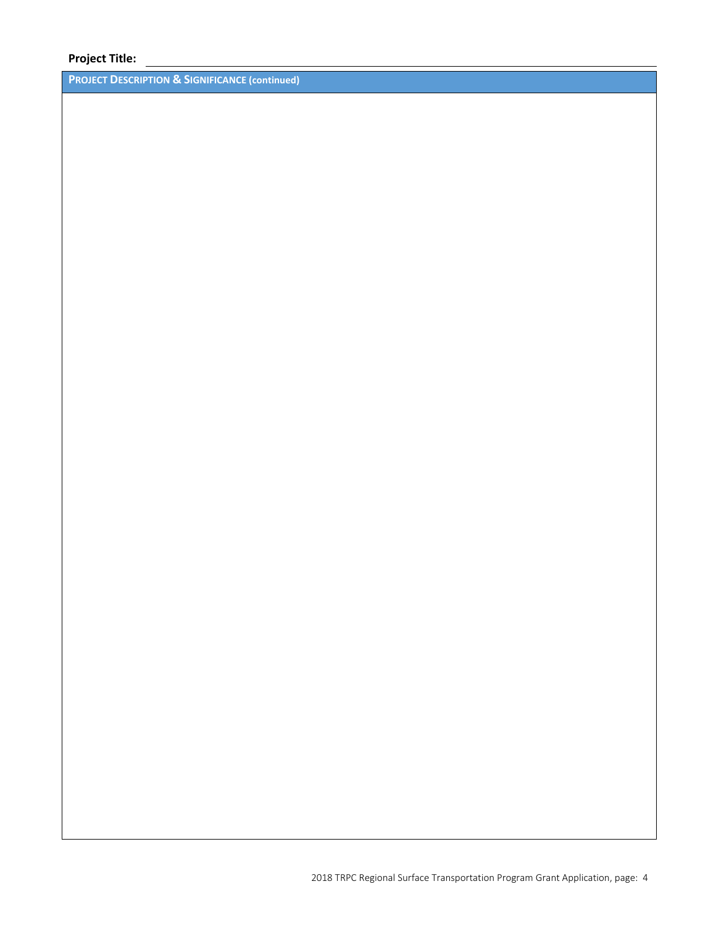Fort Stevens Elementary - Pedestrian Improvements

## **Project Title:**

**PROJECT DESCRIPTION & SIGNIFICANCE (continued)**